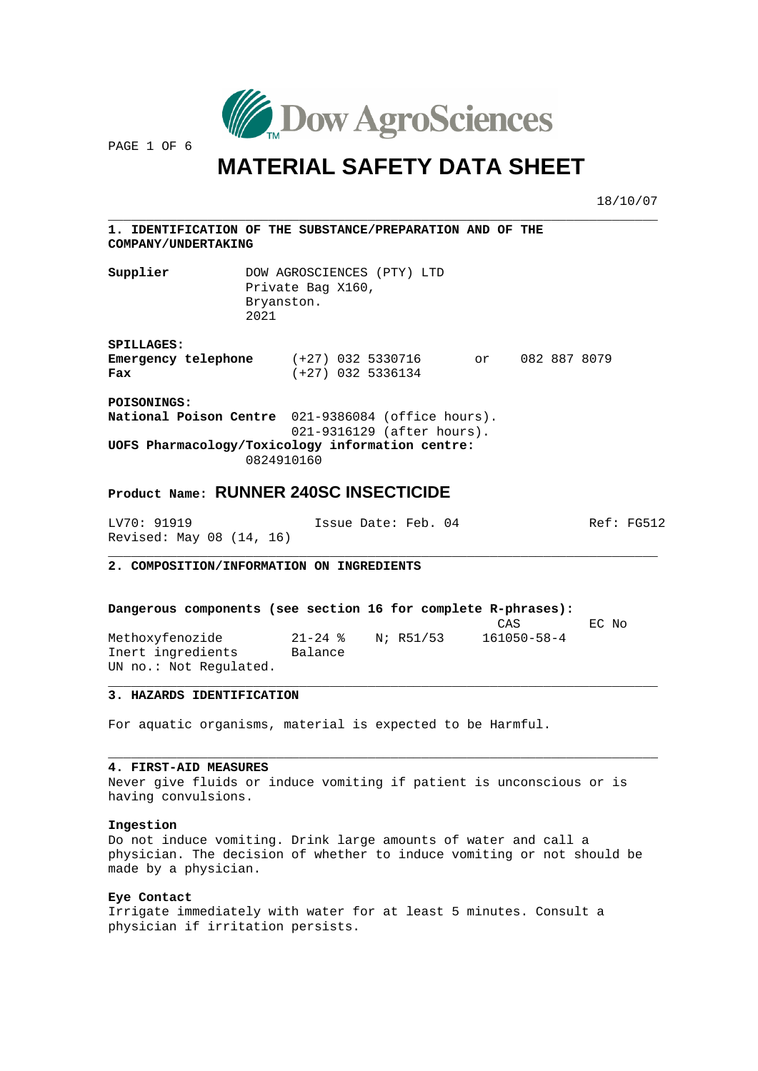

PAGE 1 OF 6

\_\_\_\_\_\_\_\_\_\_\_\_\_\_\_\_\_\_\_

## **MATERIAL SAFETY DATA SHEET**

 $\overline{\phantom{a}}$  , and the contract of the contract of the contract of  $\overline{\phantom{a}}$ 

18/10/07

 $\overline{\phantom{a}}$ 

 $\frac{1}{2}$  ,  $\frac{1}{2}$  ,  $\frac{1}{2}$  ,  $\frac{1}{2}$  ,  $\frac{1}{2}$  ,  $\frac{1}{2}$  ,  $\frac{1}{2}$  ,  $\frac{1}{2}$ 

 $\frac{1}{2}$  ,  $\frac{1}{2}$  ,  $\frac{1}{2}$  ,  $\frac{1}{2}$  ,  $\frac{1}{2}$  ,  $\frac{1}{2}$  ,  $\frac{1}{2}$  ,  $\frac{1}{2}$  ,  $\frac{1}{2}$  ,  $\frac{1}{2}$  ,  $\frac{1}{2}$  ,  $\frac{1}{2}$  ,  $\frac{1}{2}$  ,  $\frac{1}{2}$  ,  $\frac{1}{2}$  ,  $\frac{1}{2}$  ,  $\frac{1}{2}$  ,  $\frac{1}{2}$  ,  $\frac{1$ 

\_\_\_\_\_\_\_\_\_\_\_\_\_\_\_\_\_\_\_\_\_\_\_\_\_\_\_\_\_\_\_\_\_\_\_\_\_\_\_\_\_\_\_\_\_

| <b>1. IDENTIFICATION OF THE SUBSTANCE/PREPARATION AND OF THE</b><br><b>COMPANY/UNDERTAKING</b>                               |                                         |                     |                                |    |              |  |
|------------------------------------------------------------------------------------------------------------------------------|-----------------------------------------|---------------------|--------------------------------|----|--------------|--|
| Supplier                                                                                                                     | Private Bag X160,<br>Bryanston.<br>2021 |                     | DOW AGROSCIENCES (PTY) LTD     |    |              |  |
| <b>SPILLAGES:</b><br><b>Emergency telephone</b> (+27) 032 5330716<br>Fax                                                     |                                         | $(+27)$ 032 5336134 |                                | or | 082 887 8079 |  |
| <b>POISONINGS:</b><br>National Poison Centre 021-9386084 (office hours).<br>UOFS Pharmacology/Toxicology information centre: | 0824910160                              |                     | $021 - 9316129$ (after hours). |    |              |  |

## **oduct Name: RUNNER 240SC INSECTICIDE Pr**

LV70: 91919 Issue Date: Feb. 04 Ref: FG512 Revised: May 08 (14, 16)

 **COMPOSITION/INFORMATION ON INGREDIENTS 2.** \_\_\_\_\_\_\_\_\_\_\_\_\_\_\_\_\_\_\_\_\_\_\_\_\_\_\_\_\_\_\_\_\_\_\_\_\_\_\_\_\_\_\_

| Dangerous components (see section 16 for complete R-phrases): |             |           |                   |       |
|---------------------------------------------------------------|-------------|-----------|-------------------|-------|
|                                                               |             |           | CAS               | EC No |
| Methoxyfenozide                                               | $21 - 24$ % | N; R51/53 | $161050 - 58 - 4$ |       |
| Inert ingredients                                             | Balance     |           |                   |       |
| UN no.: Not Requlated.                                        |             |           |                   |       |

## \_\_\_\_\_\_\_\_\_\_\_\_\_\_\_\_\_\_\_\_\_\_\_\_\_\_\_ **3. HAZARDS IDENTIFICATION**

For aquatic organisms, material is expected to be Harmful.

### **4. FIRST-AID MEASURES**

Never give fluids or induce vomiting if patient is unconscious or is having convulsions.

\_\_\_\_\_\_\_\_\_\_\_\_\_\_\_\_\_\_\_\_\_\_\_\_\_\_\_\_\_\_\_\_\_\_\_\_\_\_\_\_\_\_\_\_\_\_\_\_\_\_\_\_\_\_\_\_\_\_\_\_\_\_\_\_\_\_\_\_\_

### **Ingestion**

physician. The decision of whether to induce vomiting or not should be made by a physician. Do not induce vomiting. Drink large amounts of water and call a

## **Eye Contact**

Irrigate immediately with water for at least 5 minutes. Consult a physician if irritation persists.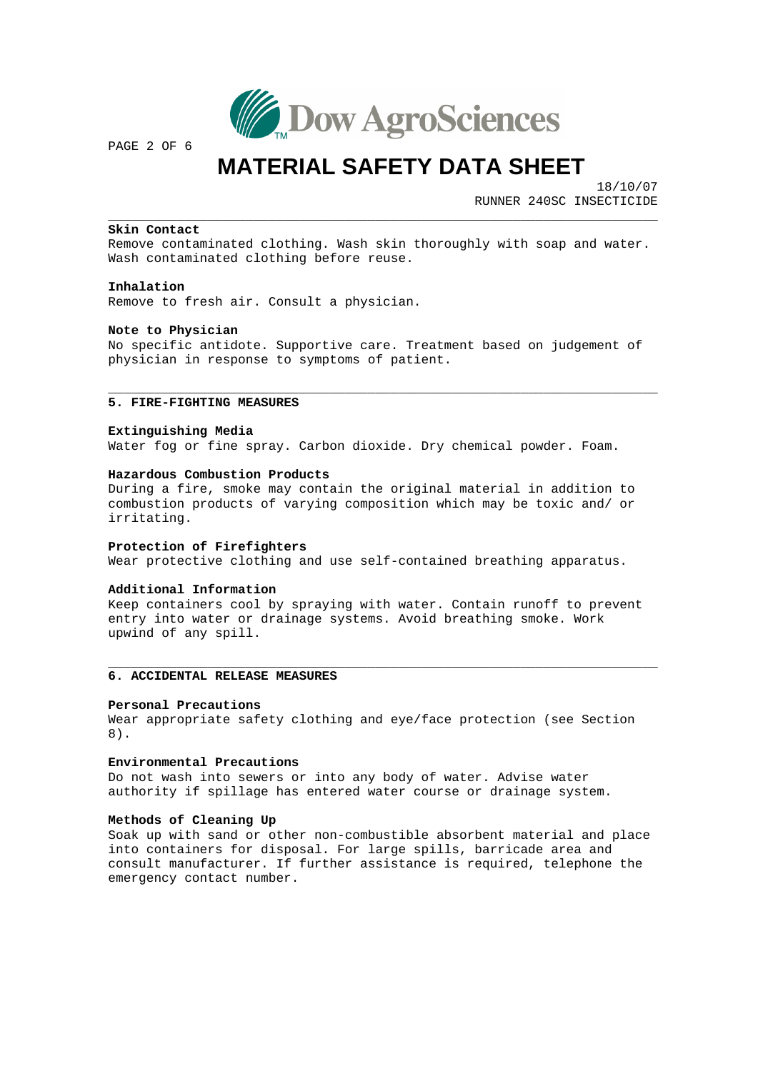

PAGE 2 OF 6

## **MATERIAL SAFETY DATA SHEET**

\_\_\_\_\_\_\_\_\_\_\_\_\_\_\_\_\_\_\_\_\_\_\_\_\_\_\_\_\_\_\_\_\_\_\_\_\_\_\_\_\_\_\_\_\_\_\_\_\_\_\_\_\_\_\_\_\_\_

 18/10/07 RUNNER 240SC INSECTICIDE

\_\_\_\_\_\_\_\_\_\_\_\_\_\_\_\_\_\_\_\_\_\_\_\_\_\_\_\_\_\_\_\_\_\_\_\_\_\_\_\_\_\_\_\_\_

 $\overline{\phantom{a}}$  , and the contract of the contract of the contract of  $\overline{\phantom{a}}$ 

### \_\_\_\_\_\_\_\_\_\_\_\_\_\_ **Skin Contact**

Remove contaminated clothing. Wash skin thoroughly with soap and water. Wash contaminated clothing before reuse.

### **Inhalation**

Remove to fresh air. Consult a physician.

### **Note to Physician**

No specific antidote. Supportive care. Treatment based on judgement of physician in response to symptoms of patient.

## **5. FIRE-FIGHTING MEASURES** \_\_\_\_\_\_\_\_\_\_\_\_\_\_\_\_\_\_\_\_\_\_\_\_\_\_\_

### **Extinguishing Media**

Water fog or fine spray. Carbon dioxide. Dry chemical powder. Foam.

### **Hazardous Combustion Products**

combustion products of varying composition which may be toxic and/ or During a fire, smoke may contain the original material in addition to irritating.

#### **Protection of Firefighters**

Wear protective clothing and use self-contained breathing apparatus.

### **Additional Information**

Keep containers cool by spraying with water. Contain runoff to prevent entry into water or drainage systems. Avoid breathing smoke. Work upwind of any spill.

## **MEASURES 6. ACCIDENTAL RELEASE**  \_\_\_\_\_\_\_\_\_\_\_\_\_\_\_\_\_\_\_\_\_\_\_\_\_\_\_\_\_\_\_\_

### **Personal Precautions**

Wear appropriate safety clothing and eye/face protection (see Section 8).

#### **Environmental Precautions**

authority if spillage has entered water course or drainage system. Do not wash into sewers or into any body of water. Advise water

### **Methods of Cleaning Up**

consult manufacturer. If further assistance is required, telephone the emergency contact number. Soak up with sand or other non-combustible absorbent material and place into containers for disposal. For large spills, barricade area and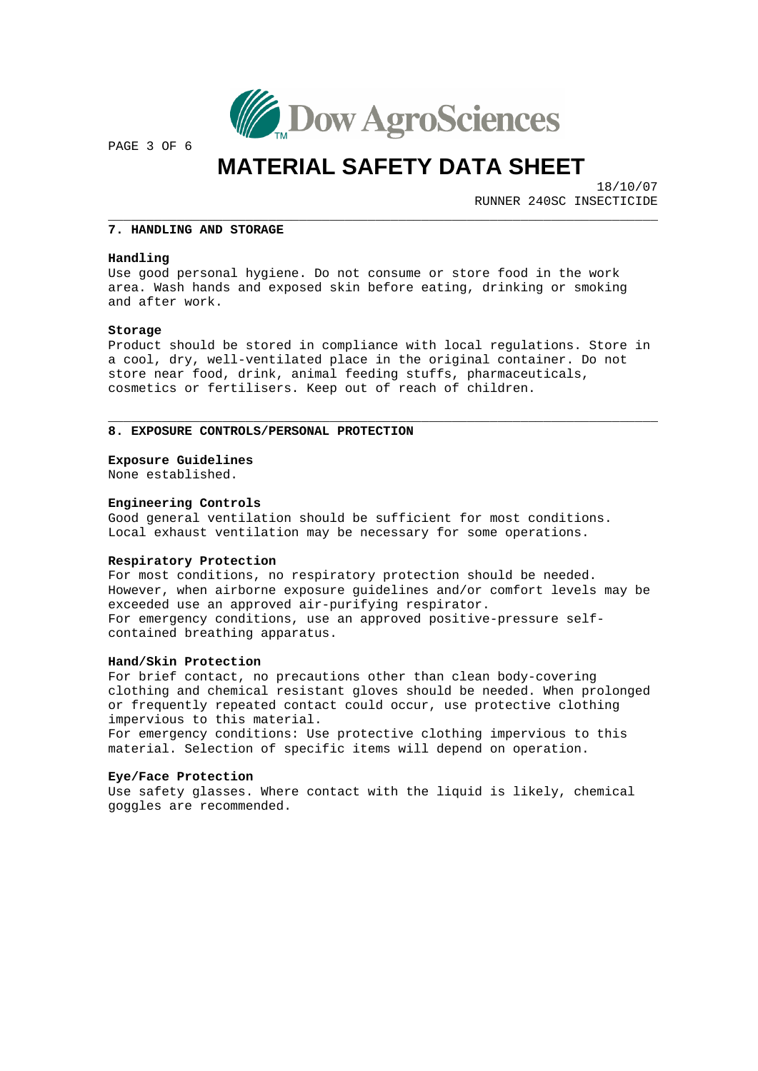

PAGE 3 OF 6

# **MATERIAL SAFETY DATA SHEET**

 18/10/07 RUNNER 240SC INSECTICIDE

 $\frac{1}{2}$  ,  $\frac{1}{2}$  ,  $\frac{1}{2}$  ,  $\frac{1}{2}$  ,  $\frac{1}{2}$  ,  $\frac{1}{2}$  ,  $\frac{1}{2}$  ,  $\frac{1}{2}$  ,  $\frac{1}{2}$  ,  $\frac{1}{2}$  ,  $\frac{1}{2}$  ,  $\frac{1}{2}$  ,  $\frac{1}{2}$  ,  $\frac{1}{2}$  ,  $\frac{1}{2}$  ,  $\frac{1}{2}$  ,  $\frac{1}{2}$  ,  $\frac{1}{2}$  ,  $\frac{1$ 

 $\overline{\phantom{a}}$  , and the contract of the contract of  $\overline{\phantom{a}}$ 

## **NG AND STORAGE 7. HANDLI** \_\_\_\_\_\_\_\_\_\_\_\_\_\_\_\_\_\_\_\_\_\_\_\_\_

### **Handling**

area. Wash hands and exposed skin before eating, drinking or smoking and after work. Use good personal hygiene. Do not consume or store food in the work

### **Storage**

Product should be stored in compliance with local regulations. Store in a cool, dry, well-ventilated place in the original container. Do not store near food, drink, animal feeding stuffs, pharmaceuticals, cosmetics or fertilisers. Keep out of reach of children.

## **/PERSONAL PROTECTION 8. EXPOSURE CONTROLS** \_\_\_\_\_\_\_\_\_\_\_\_\_\_\_\_\_\_\_\_\_\_\_\_\_\_\_\_\_\_\_\_\_\_\_\_\_\_\_\_\_\_

#### **Exposure Guidelines**

None established.

### **Engineering Controls**

Good general ventilation should be sufficient for most conditions. Local exhaust ventilation may be necessary for some operations.

### **Respiratory Protection**

However, when airborne exposure guidelines and/or comfort levels may be For emergency conditions, use an approved positive-pressure selfcontained breathing apparatus. For most conditions, no respiratory protection should be needed. exceeded use an approved air-purifying respirator.

### **Hand/Skin Protection**

ed clothing and chemical resistant gloves should be needed. When prolong For brief contact, no precautions other than clean body-covering or frequently repeated contact could occur, use protective clothing impervious to this material.

For emergency conditions: Use protective clothing impervious to this material. Selection of specific items will depend on operation.

### **Eye/Face Protection**

Use safety glasses. Where contact with the liquid is likely, chemical goggles are recommended.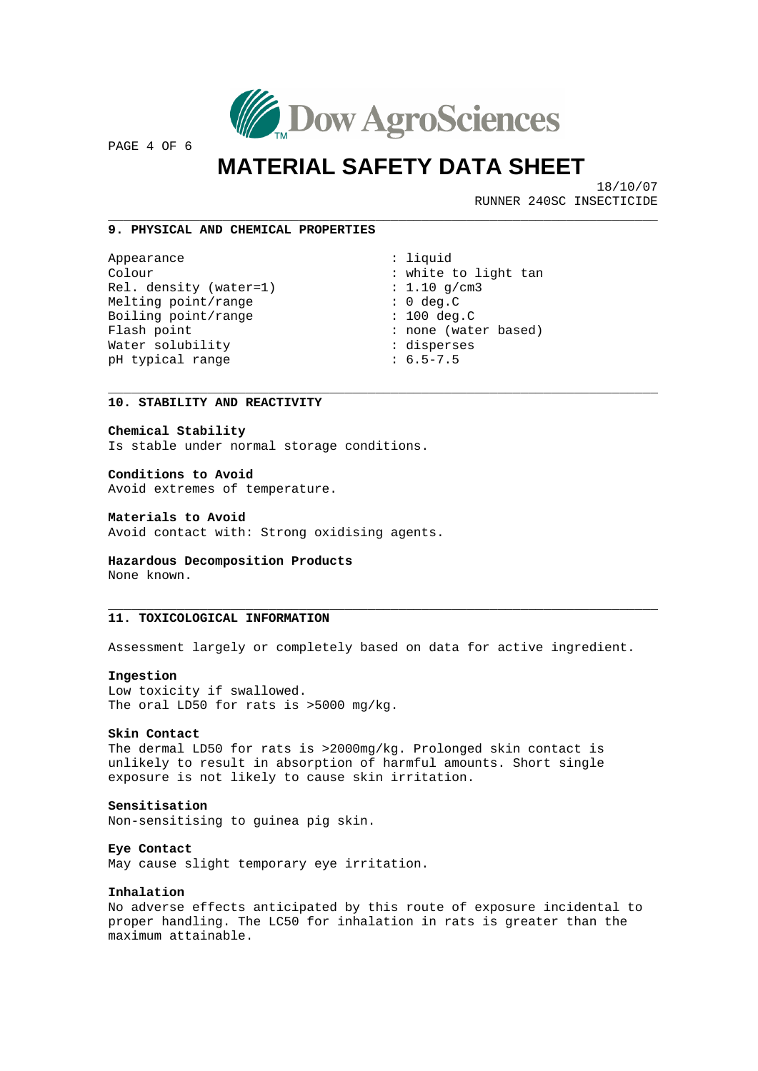

PAGE 4 OF 6

## **MATERIAL SAFETY DATA SHEET**

 18/10/07 RUNNER 240SC INSECTICIDE

 $\frac{1}{2}$  ,  $\frac{1}{2}$  ,  $\frac{1}{2}$  ,  $\frac{1}{2}$  ,  $\frac{1}{2}$  ,  $\frac{1}{2}$  ,  $\frac{1}{2}$  ,  $\frac{1}{2}$  ,  $\frac{1}{2}$  ,  $\frac{1}{2}$  ,  $\frac{1}{2}$  ,  $\frac{1}{2}$  ,  $\frac{1}{2}$  ,  $\frac{1}{2}$  ,  $\frac{1}{2}$  ,  $\frac{1}{2}$  ,  $\frac{1}{2}$  ,  $\frac{1}{2}$  ,  $\frac{1$ 

### \_\_\_\_\_\_\_\_\_\_\_\_\_\_\_\_\_\_\_\_\_\_\_\_\_\_\_\_\_\_\_\_\_\_\_\_\_ **9. PHYSICAL AND CHEMICAL PROPERTIES**

Colour : white to light tan Flash point  $\qquad \qquad :$  none (water based) Appearance : liquid Rel. density (water=1) : 1.10 g/cm3 Melting point/range : 0 deg.C Boiling point/range : 100 deg.C Water solubility  $\qquad \qquad :$  disperses pH typical range : 6.5-7.5

 $\overline{\phantom{a}}$  , and the contract of the contract of the contract of the contract of the contract of the contract of the contract of the contract of the contract of the contract of the contract of the contract of the contrac

 $\overline{\phantom{a}}$  , where  $\overline{\phantom{a}}$  , where  $\overline{\phantom{a}}$  , where  $\overline{\phantom{a}}$  , where  $\overline{\phantom{a}}$  , where  $\overline{\phantom{a}}$ 

## **REACTIVITY 10. STABILITY AND**  \_\_\_\_\_\_\_\_\_\_\_\_\_\_\_\_\_\_\_\_\_\_\_\_\_\_\_\_\_\_

### **Chemical Stability**

Is stable under normal storage conditions.

### **Conditions to Avoid**

Avoid extremes of temperature.

### **Materials to Avoid**

Avoid contact with: Strong oxidising agents.

### **omposition Products Hazardous Dec** None known.

## **. TOXICOLOGICAL INFORMATION 11** \_\_\_\_\_\_\_\_\_\_\_\_\_\_\_\_\_\_\_\_\_\_\_\_\_\_\_\_\_\_\_

Assessment largely or completely based on data for active ingredient.

#### **Ingestion**

The oral LD50 for rats is >5000 mg/kg. Low toxicity if swallowed.

#### **Skin Contact**

unlikely to result in absorption of harmful amounts. Short single exposure is not likely to cause skin irritation. The dermal LD50 for rats is >2000mg/kg. Prolonged skin contact is

### **Sensitisation**

Non-sensitising to guinea pig skin.

**Eye Contact**

May cause slight temporary eye irritation.

### **Inhalation**

proper handling. The LC50 for inhalation in rats is greater than the maximum attainable. No adverse effects anticipated by this route of exposure incidental to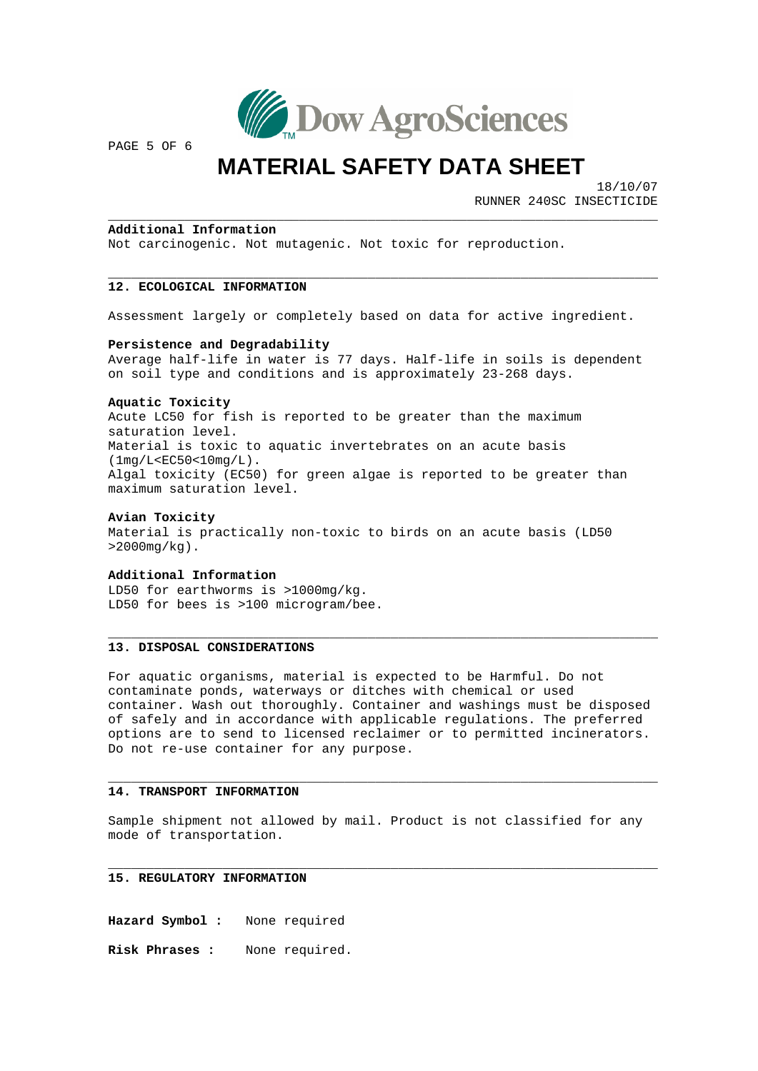

PAGE 5 OF 6

## **MATERIAL SAFETY DATA SHEET**

\_\_\_\_\_\_\_\_\_\_\_\_\_\_\_\_\_\_\_\_\_\_\_\_\_\_\_\_\_\_\_\_\_\_\_\_\_

 18/10/07 RUNNER 240SC INSECTICIDE

 $\overline{\phantom{a}}$  , where the contract of the contract of the contract of the contract of the contract of the contract of the contract of the contract of the contract of the contract of the contract of the contract of the contr

\_\_\_\_\_\_\_\_\_\_\_\_\_\_\_\_\_\_\_\_\_\_\_\_\_\_\_\_\_\_\_\_\_\_\_\_\_\_\_\_\_\_\_

\_\_\_\_\_\_\_\_\_\_\_\_\_\_\_\_\_\_\_\_\_\_\_\_\_\_\_\_\_\_\_\_\_\_\_\_\_\_\_\_\_\_\_\_\_

 $\overline{\phantom{a}}$  , where the contract of the contract of the contract of the contract of the contract of the contract of the contract of the contract of the contract of the contract of the contract of the contract of the contr

 $\frac{1}{2}$  ,  $\frac{1}{2}$  ,  $\frac{1}{2}$  ,  $\frac{1}{2}$  ,  $\frac{1}{2}$  ,  $\frac{1}{2}$ 

### \_\_\_\_\_\_\_\_\_\_\_\_\_\_\_\_\_\_\_\_\_\_\_\_ **Additional Information**

Not carcinogenic. Not mutagenic. Not toxic for reproduction.

### \_\_\_\_\_\_\_\_\_\_\_\_\_\_\_\_\_\_\_\_\_\_\_\_\_\_\_\_ **12. ECOLOGICAL INFORMATION**

Assessment largely or completely based on data for active ingredient.

### **Persistence and Degradability**

Average half-life in water is 77 days. Half-life in soils is dependent on soil type and conditions and is approximately 23-268 days.

### **Aquatic Toxicity**

Acute LC50 for fish is reported to be greater than the maximum Algal toxicity (EC50) for green algae is reported to be greater than maximum saturation level. saturation level. Material is toxic to aquatic invertebrates on an acute basis (1mg/L<EC50<10mg/L).

### **Avian Toxicity**

Material is practically non-toxic to birds on an acute basis (LD50 >2000mg/kg).

## **Additional Information**

LD50 for earthworms is >1000mg/kg. LD50 for bees is >100 microgram/bee.

### \_\_\_\_\_\_\_\_\_\_\_\_\_\_\_\_\_\_\_\_\_\_\_\_\_\_\_\_\_ **13. DISPOSAL CONSIDERATIONS**

options are to send to licensed reclaimer or to permitted incinerators. For aquatic organisms, material is expected to be Harmful. Do not contaminate ponds, waterways or ditches with chemical or used container. Wash out thoroughly. Container and washings must be disposed of safely and in accordance with applicable regulations. The preferred Do not re-use container for any purpose.

## **. TRANSPORT INFORMATION 14** \_\_\_\_\_\_\_\_\_\_\_\_\_\_\_\_\_\_\_\_\_\_\_\_\_\_\_

Sample shipment not allowed by mail. Product is not classified for any mode of transportation.

## **. REGULATORY INFORMATION 15** \_\_\_\_\_\_\_\_\_\_\_\_\_\_\_\_\_\_\_\_\_\_\_\_\_\_\_\_

**Hazard Symbol :** None required

**sk Phrases :** None required. **Ri**